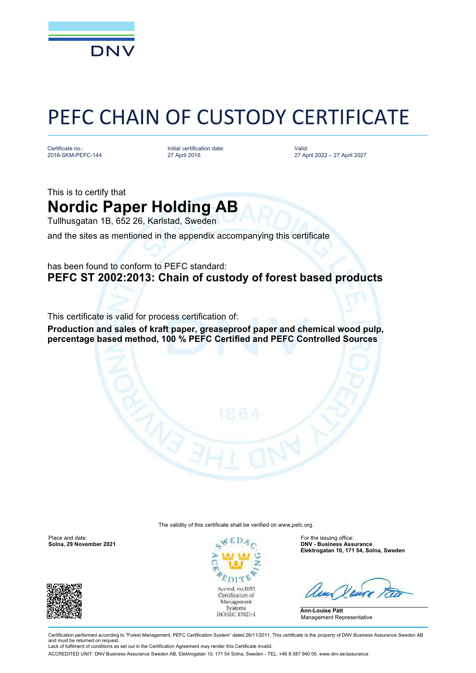

## PEFC CHAIN OF CUSTODY CERTIFICATE

Certificate no.: 2016-SKM-PEFC-144

Initial certification date: 27 April 2016

Valid: 27 April 2022 – 27 April 2027

This is to certify that **Nordic Paper Holding AB**

Tullhusgatan 1B, 652 26, Karlstad, Sweden

and the sites as mentioned in the appendix accompanying this certificate

## has been found to conform to PEFC standard: **PEFC ST 2002:2013: Chain of custody of forest based products**

This certificate is valid for process certification of:

**Production and sales of kraft paper, greaseproof paper and chemical wood pulp, percentage based method, 100 % PEFC Certified and PEFC Controlled Sources**

The validity of this certificate shall be verified on [www.pefc.org.](http://www.pefc.org)

Place and date: For the issuing office: For the issuing office:





**Solna, 29 November 2021 DNV - Business Assurance Elektrogatan 10, 171 54, Solna, Sweden**

**Ann-Louise Pått** Management Representative

Certification performed according to "Forest Management, PEFC Certification System" dated 26/11/2011. This certificate is the property of DNV Business Assurance Sweden AB and must be returned on request. Lack of fulfilment of conditions as set out in the Certification Agreement may render this Certificate invalid.

ACCREDITED UNIT: DNV Business Assurance Sweden AB, Elektrogatan 10, 171 54 Solna, Sweden - TEL: +46 8 587 940 00. [www.dnv.se/assurance](http://www.dnv.se/assurance)